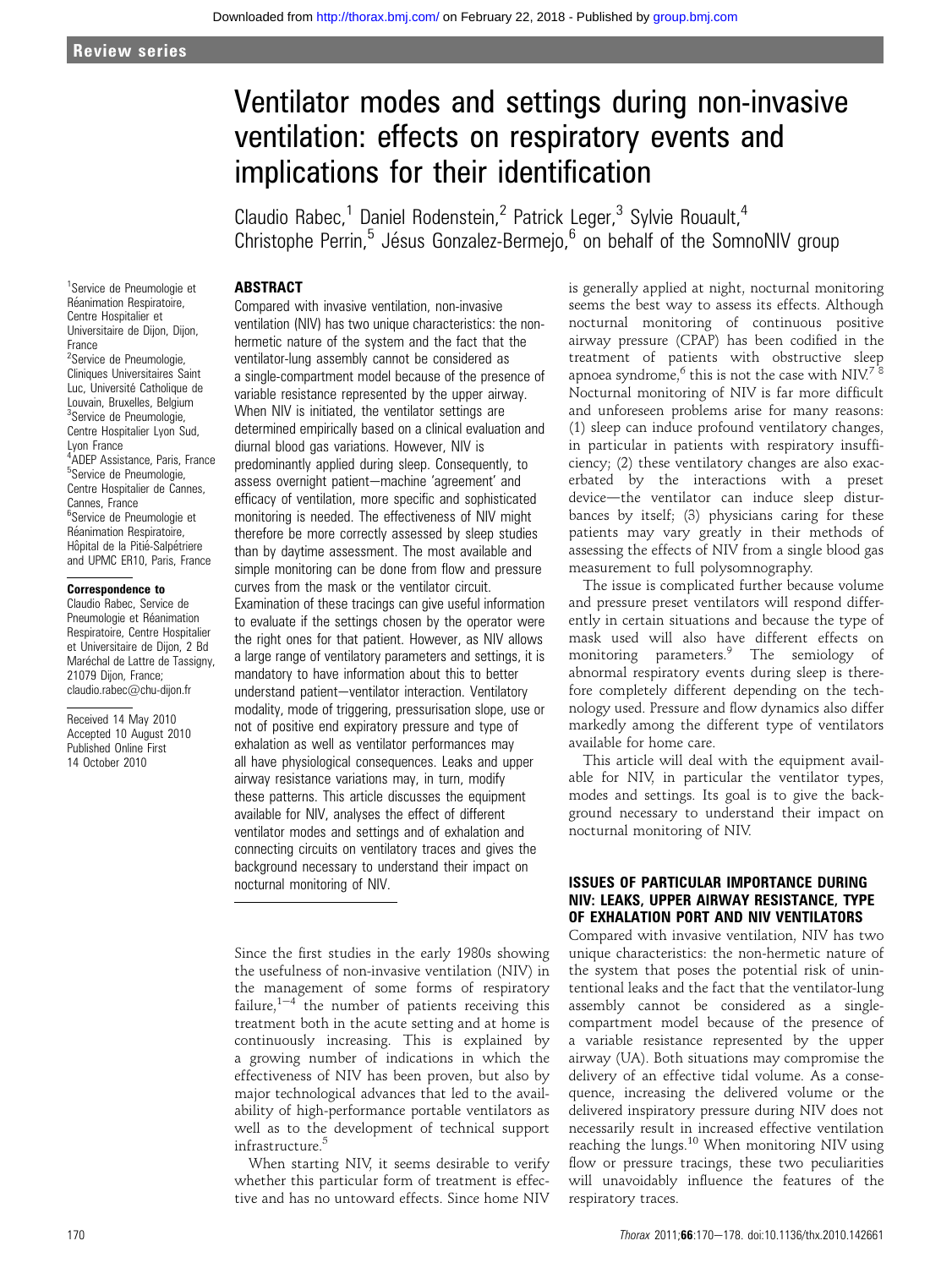# Ventilator modes and settings during non-invasive ventilation: effects on respiratory events and implications for their identification

Claudio Rabec,<sup>1</sup> Daniel Rodenstein,<sup>2</sup> Patrick Leger,<sup>3</sup> Sylvie Rouault,<sup>4</sup> Christophe Perrin,<sup>5</sup> Jésus Gonzalez-Bermejo,<sup>6</sup> on behalf of the SomnoNIV group

# **ABSTRACT**

<sup>1</sup>Service de Pneumologie et Réanimation Respiratoire Centre Hospitalier et Universitaire de Dijon, Dijon, France <sup>2</sup>Service de Pneumologie, Cliniques Universitaires Saint Luc, Université Catholique de Louvain, Bruxelles, Belgium <sup>3</sup>Service de Pneumologie, Centre Hospitalier Lyon Sud, Lyon France 4 ADEP Assistance, Paris, France <sup>5</sup>Service de Pneumologie, Centre Hospitalier de Cannes, Cannes, France <sup>6</sup>Service de Pneumologie et Réanimation Respiratoire, Hôpital de la Pitié-Salpétriere and UPMC ER10, Paris, France

#### Correspondence to

Claudio Rabec, Service de Pneumologie et Réanimation Respiratoire, Centre Hospitalier et Universitaire de Dijon, 2 Bd Maréchal de Lattre de Tassigny, 21079 Dijon, France; claudio.rabec@chu-dijon.fr

Received 14 May 2010 Accepted 10 August 2010 Published Online First 14 October 2010

Compared with invasive ventilation, non-invasive ventilation (NIV) has two unique characteristics: the nonhermetic nature of the system and the fact that the ventilator-lung assembly cannot be considered as a single-compartment model because of the presence of variable resistance represented by the upper airway. When NIV is initiated, the ventilator settings are determined empirically based on a clinical evaluation and diurnal blood gas variations. However, NIV is predominantly applied during sleep. Consequently, to assess overnight patient-machine 'agreement' and efficacy of ventilation, more specific and sophisticated monitoring is needed. The effectiveness of NIV might therefore be more correctly assessed by sleep studies than by daytime assessment. The most available and simple monitoring can be done from flow and pressure curves from the mask or the ventilator circuit. Examination of these tracings can give useful information to evaluate if the settings chosen by the operator were the right ones for that patient. However, as NIV allows a large range of ventilatory parameters and settings, it is mandatory to have information about this to better understand patient-ventilator interaction. Ventilatory modality, mode of triggering, pressurisation slope, use or not of positive end expiratory pressure and type of exhalation as well as ventilator performances may all have physiological consequences. Leaks and upper airway resistance variations may, in turn, modify these patterns. This article discusses the equipment available for NIV, analyses the effect of different ventilator modes and settings and of exhalation and connecting circuits on ventilatory traces and gives the background necessary to understand their impact on nocturnal monitoring of NIV.

Since the first studies in the early 1980s showing the usefulness of non-invasive ventilation (NIV) in the management of some forms of respiratory failure, $1-4$  the number of patients receiving this treatment both in the acute setting and at home is continuously increasing. This is explained by a growing number of indications in which the effectiveness of NIV has been proven, but also by major technological advances that led to the availability of high-performance portable ventilators as well as to the development of technical support infrastructure.5

When starting NIV, it seems desirable to verify whether this particular form of treatment is effective and has no untoward effects. Since home NIV is generally applied at night, nocturnal monitoring seems the best way to assess its effects. Although nocturnal monitoring of continuous positive airway pressure (CPAP) has been codified in the treatment of patients with obstructive sleep apnoea syndrome, $6$  this is not the case with NIV.<sup>7</sup> Nocturnal monitoring of NIV is far more difficult and unforeseen problems arise for many reasons: (1) sleep can induce profound ventilatory changes, in particular in patients with respiratory insufficiency; (2) these ventilatory changes are also exacerbated by the interactions with a preset device-the ventilator can induce sleep disturbances by itself; (3) physicians caring for these patients may vary greatly in their methods of assessing the effects of NIV from a single blood gas measurement to full polysomnography.

The issue is complicated further because volume and pressure preset ventilators will respond differently in certain situations and because the type of mask used will also have different effects on monitoring parameters.<sup>9</sup> The semiology of abnormal respiratory events during sleep is therefore completely different depending on the technology used. Pressure and flow dynamics also differ markedly among the different type of ventilators available for home care.

This article will deal with the equipment available for NIV, in particular the ventilator types, modes and settings. Its goal is to give the background necessary to understand their impact on nocturnal monitoring of NIV.

# ISSUES OF PARTICULAR IMPORTANCE DURING NIV: LEAKS, UPPER AIRWAY RESISTANCE, TYPE OF EXHALATION PORT AND NIV VENTILATORS

Compared with invasive ventilation, NIV has two unique characteristics: the non-hermetic nature of the system that poses the potential risk of unintentional leaks and the fact that the ventilator-lung assembly cannot be considered as a singlecompartment model because of the presence of a variable resistance represented by the upper airway (UA). Both situations may compromise the delivery of an effective tidal volume. As a consequence, increasing the delivered volume or the delivered inspiratory pressure during NIV does not necessarily result in increased effective ventilation reaching the lungs.<sup>10</sup> When monitoring NIV using flow or pressure tracings, these two peculiarities will unavoidably influence the features of the respiratory traces.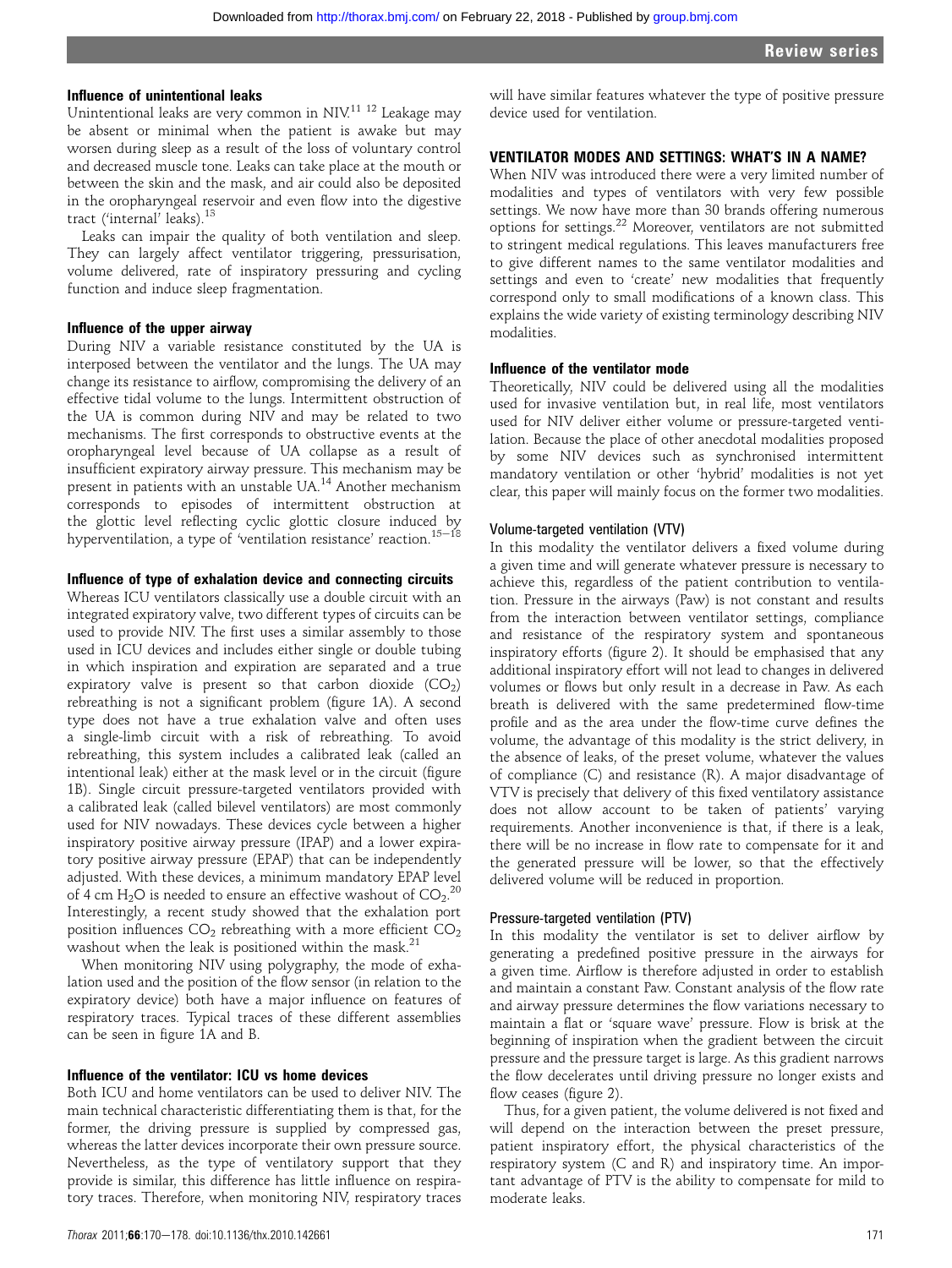# Influence of unintentional leaks

Unintentional leaks are very common in NIV.11 <sup>12</sup> Leakage may be absent or minimal when the patient is awake but may worsen during sleep as a result of the loss of voluntary control and decreased muscle tone. Leaks can take place at the mouth or between the skin and the mask, and air could also be deposited in the oropharyngeal reservoir and even flow into the digestive tract ('internal' leaks).<sup>13</sup>

Leaks can impair the quality of both ventilation and sleep. They can largely affect ventilator triggering, pressurisation, volume delivered, rate of inspiratory pressuring and cycling function and induce sleep fragmentation.

#### Influence of the upper airway

During NIV a variable resistance constituted by the UA is interposed between the ventilator and the lungs. The UA may change its resistance to airflow, compromising the delivery of an effective tidal volume to the lungs. Intermittent obstruction of the UA is common during NIV and may be related to two mechanisms. The first corresponds to obstructive events at the oropharyngeal level because of UA collapse as a result of insufficient expiratory airway pressure. This mechanism may be present in patients with an unstable UA.14 Another mechanism corresponds to episodes of intermittent obstruction at the glottic level reflecting cyclic glottic closure induced by hyperventilation, a type of 'ventilation resistance' reaction.<sup>15-18</sup>

#### Influence of type of exhalation device and connecting circuits

Whereas ICU ventilators classically use a double circuit with an integrated expiratory valve, two different types of circuits can be used to provide NIV. The first uses a similar assembly to those used in ICU devices and includes either single or double tubing in which inspiration and expiration are separated and a true expiratory valve is present so that carbon dioxide  $(CO_2)$ rebreathing is not a significant problem (figure 1A). A second type does not have a true exhalation valve and often uses a single-limb circuit with a risk of rebreathing. To avoid rebreathing, this system includes a calibrated leak (called an intentional leak) either at the mask level or in the circuit (figure 1B). Single circuit pressure-targeted ventilators provided with a calibrated leak (called bilevel ventilators) are most commonly used for NIV nowadays. These devices cycle between a higher inspiratory positive airway pressure (IPAP) and a lower expiratory positive airway pressure (EPAP) that can be independently adjusted. With these devices, a minimum mandatory EPAP level of 4 cm H2O is needed to ensure an effective washout of  $\mathsf{CO_2}.^{20}$ Interestingly, a recent study showed that the exhalation port position influences  $CO<sub>2</sub>$  rebreathing with a more efficient  $CO<sub>2</sub>$ washout when the leak is positioned within the mask.<sup>21</sup>

When monitoring NIV using polygraphy, the mode of exhalation used and the position of the flow sensor (in relation to the expiratory device) both have a major influence on features of respiratory traces. Typical traces of these different assemblies can be seen in figure 1A and B.

#### Influence of the ventilator: ICU vs home devices

Both ICU and home ventilators can be used to deliver NIV. The main technical characteristic differentiating them is that, for the former, the driving pressure is supplied by compressed gas, whereas the latter devices incorporate their own pressure source. Nevertheless, as the type of ventilatory support that they provide is similar, this difference has little influence on respiratory traces. Therefore, when monitoring NIV, respiratory traces will have similar features whatever the type of positive pressure device used for ventilation.

#### VENTILATOR MODES AND SETTINGS: WHAT'S IN A NAME?

When NIV was introduced there were a very limited number of modalities and types of ventilators with very few possible settings. We now have more than 30 brands offering numerous options for settings.<sup>22</sup> Moreover, ventilators are not submitted to stringent medical regulations. This leaves manufacturers free to give different names to the same ventilator modalities and settings and even to 'create' new modalities that frequently correspond only to small modifications of a known class. This explains the wide variety of existing terminology describing NIV modalities.

# Influence of the ventilator mode

Theoretically, NIV could be delivered using all the modalities used for invasive ventilation but, in real life, most ventilators used for NIV deliver either volume or pressure-targeted ventilation. Because the place of other anecdotal modalities proposed by some NIV devices such as synchronised intermittent mandatory ventilation or other 'hybrid' modalities is not yet clear, this paper will mainly focus on the former two modalities.

# Volume-targeted ventilation (VTV)

In this modality the ventilator delivers a fixed volume during a given time and will generate whatever pressure is necessary to achieve this, regardless of the patient contribution to ventilation. Pressure in the airways (Paw) is not constant and results from the interaction between ventilator settings, compliance and resistance of the respiratory system and spontaneous inspiratory efforts (figure 2). It should be emphasised that any additional inspiratory effort will not lead to changes in delivered volumes or flows but only result in a decrease in Paw. As each breath is delivered with the same predetermined flow-time profile and as the area under the flow-time curve defines the volume, the advantage of this modality is the strict delivery, in the absence of leaks, of the preset volume, whatever the values of compliance (C) and resistance (R). A major disadvantage of VTV is precisely that delivery of this fixed ventilatory assistance does not allow account to be taken of patients' varying requirements. Another inconvenience is that, if there is a leak, there will be no increase in flow rate to compensate for it and the generated pressure will be lower, so that the effectively delivered volume will be reduced in proportion.

#### Pressure-targeted ventilation (PTV)

In this modality the ventilator is set to deliver airflow by generating a predefined positive pressure in the airways for a given time. Airflow is therefore adjusted in order to establish and maintain a constant Paw. Constant analysis of the flow rate and airway pressure determines the flow variations necessary to maintain a flat or 'square wave' pressure. Flow is brisk at the beginning of inspiration when the gradient between the circuit pressure and the pressure target is large. As this gradient narrows the flow decelerates until driving pressure no longer exists and flow ceases (figure 2).

Thus, for a given patient, the volume delivered is not fixed and will depend on the interaction between the preset pressure, patient inspiratory effort, the physical characteristics of the respiratory system (C and R) and inspiratory time. An important advantage of PTV is the ability to compensate for mild to moderate leaks.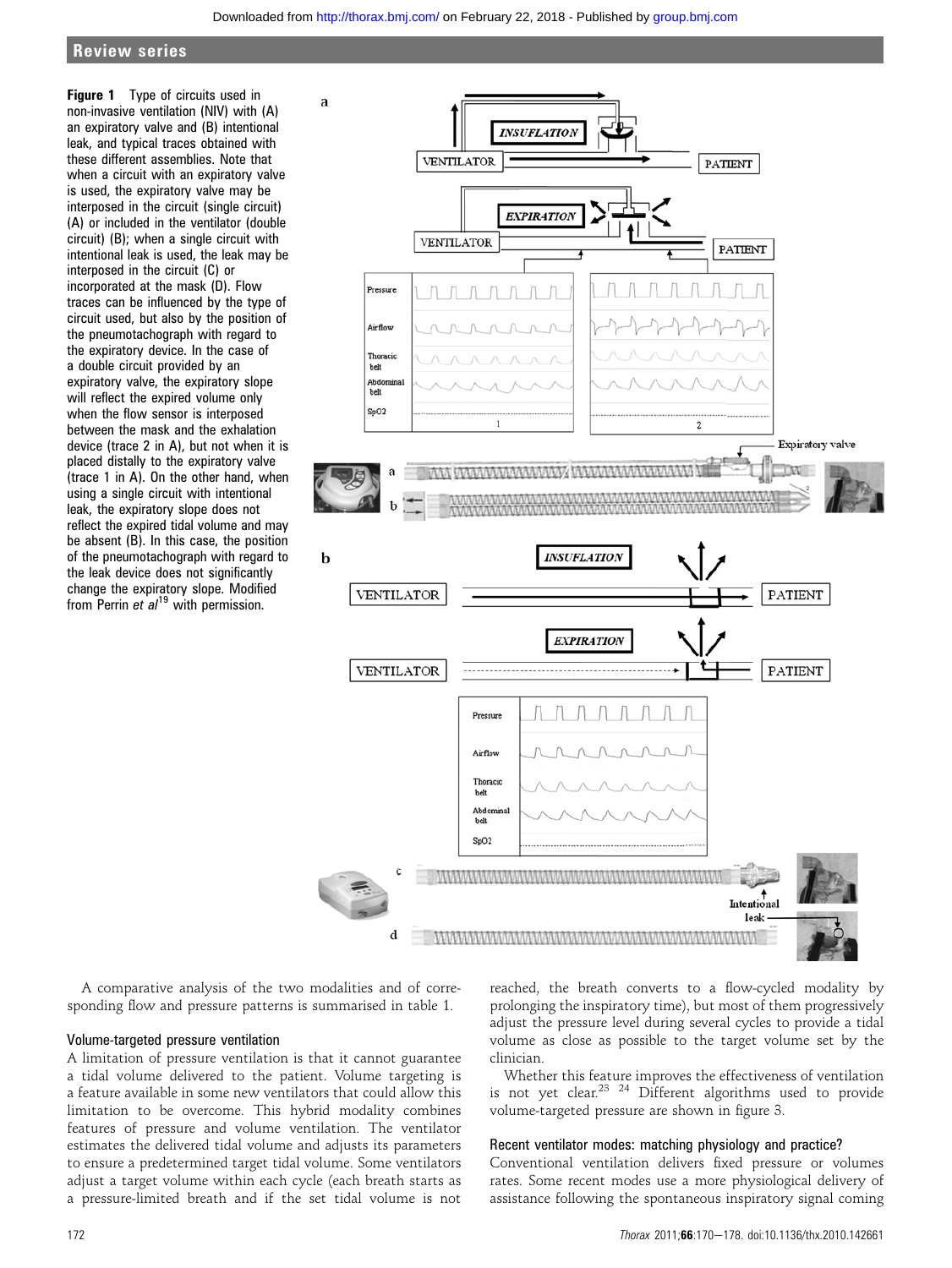**Figure 1** Type of circuits used in non-invasive ventilation (NIV) with (A) an expiratory valve and (B) intentional leak, and typical traces obtained with these different assemblies. Note that when a circuit with an expiratory valve is used, the expiratory valve may be interposed in the circuit (single circuit) (A) or included in the ventilator (double circuit) (B); when a single circuit with intentional leak is used, the leak may be interposed in the circuit (C) or incorporated at the mask (D). Flow traces can be influenced by the type of circuit used, but also by the position of the pneumotachograph with regard to the expiratory device. In the case of a double circuit provided by an expiratory valve, the expiratory slope will reflect the expired volume only when the flow sensor is interposed between the mask and the exhalation device (trace 2 in A), but not when it is placed distally to the expiratory valve (trace 1 in A). On the other hand, when using a single circuit with intentional leak, the expiratory slope does not reflect the expired tidal volume and may be absent (B). In this case, the position of the pneumotachograph with regard to the leak device does not significantly change the expiratory slope. Modified from Perrin et  $al^{19}$  with permission.



A comparative analysis of the two modalities and of corresponding flow and pressure patterns is summarised in table 1.

#### Volume-targeted pressure ventilation

A limitation of pressure ventilation is that it cannot guarantee a tidal volume delivered to the patient. Volume targeting is a feature available in some new ventilators that could allow this limitation to be overcome. This hybrid modality combines features of pressure and volume ventilation. The ventilator estimates the delivered tidal volume and adjusts its parameters to ensure a predetermined target tidal volume. Some ventilators adjust a target volume within each cycle (each breath starts as a pressure-limited breath and if the set tidal volume is not reached, the breath converts to a flow-cycled modality by prolonging the inspiratory time), but most of them progressively adjust the pressure level during several cycles to provide a tidal volume as close as possible to the target volume set by the clinician.

Whether this feature improves the effectiveness of ventilation is not yet clear.<sup>23 24</sup> Different algorithms used to provide volume-targeted pressure are shown in figure 3.

#### Recent ventilator modes: matching physiology and practice?

Conventional ventilation delivers fixed pressure or volumes rates. Some recent modes use a more physiological delivery of assistance following the spontaneous inspiratory signal coming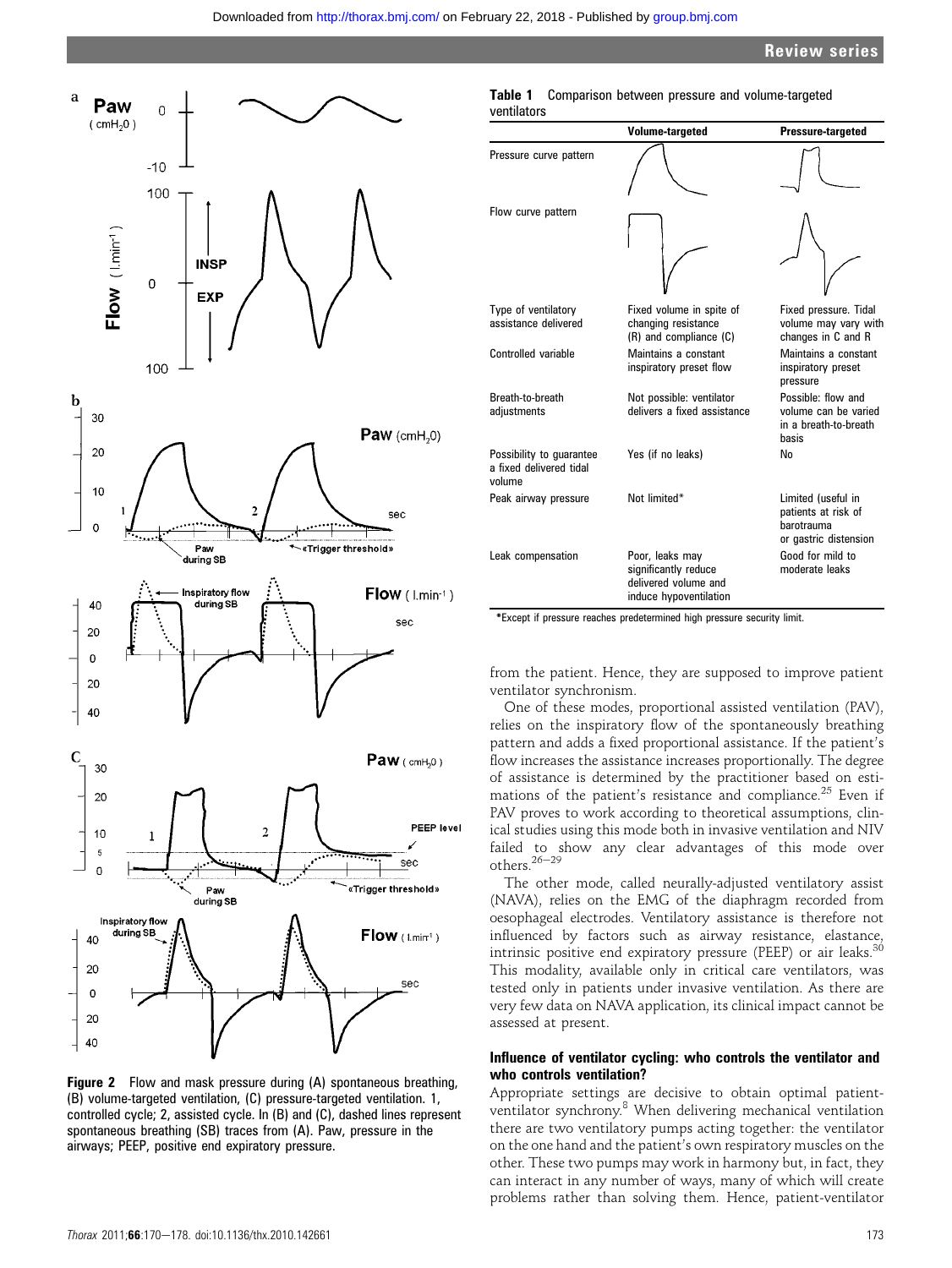

**Figure 2** Flow and mask pressure during (A) spontaneous breathing, (B) volume-targeted ventilation, (C) pressure-targeted ventilation. 1, controlled cycle; 2, assisted cycle. In (B) and (C), dashed lines represent spontaneous breathing (SB) traces from (A). Paw, pressure in the airways; PEEP, positive end expiratory pressure.

#### Table 1 Comparison between pressure and volume-targeted ventilators

|                                                               | Volume-targeted                                                                           | Pressure-targeted                                                                |  |
|---------------------------------------------------------------|-------------------------------------------------------------------------------------------|----------------------------------------------------------------------------------|--|
| Pressure curve pattern                                        |                                                                                           |                                                                                  |  |
| Flow curve pattern                                            |                                                                                           |                                                                                  |  |
| Type of ventilatory<br>assistance delivered                   | Fixed volume in spite of<br>changing resistance<br>(R) and compliance (C)                 | Fixed pressure. Tidal<br>volume may vary with<br>changes in C and R              |  |
| Controlled variable                                           | Maintains a constant<br>inspiratory preset flow                                           | Maintains a constant<br>inspiratory preset<br>pressure                           |  |
| <b>Breath-to-breath</b><br>adjustments                        | Not possible: ventilator<br>delivers a fixed assistance                                   | Possible: flow and<br>volume can be varied<br>in a breath-to-breath<br>hasis     |  |
| Possibility to guarantee<br>a fixed delivered tidal<br>volume | Yes (if no leaks)                                                                         | No                                                                               |  |
| Peak airway pressure                                          | Not limited*                                                                              | Limited (useful in<br>patients at risk of<br>barotrauma<br>or gastric distension |  |
| Leak compensation                                             | Poor, leaks may<br>significantly reduce<br>delivered volume and<br>induce hypoventilation | Good for mild to<br>moderate leaks                                               |  |

\*Except if pressure reaches predetermined high pressure security limit.

from the patient. Hence, they are supposed to improve patient ventilator synchronism.

One of these modes, proportional assisted ventilation (PAV), relies on the inspiratory flow of the spontaneously breathing pattern and adds a fixed proportional assistance. If the patient's flow increases the assistance increases proportionally. The degree of assistance is determined by the practitioner based on estimations of the patient's resistance and compliance.<sup>25</sup> Even if PAV proves to work according to theoretical assumptions, clinical studies using this mode both in invasive ventilation and NIV failed to show any clear advantages of this mode over others. $26-29$ 

The other mode, called neurally-adjusted ventilatory assist (NAVA), relies on the EMG of the diaphragm recorded from oesophageal electrodes. Ventilatory assistance is therefore not influenced by factors such as airway resistance, elastance, intrinsic positive end expiratory pressure (PEEP) or air leaks.<sup>30</sup> This modality, available only in critical care ventilators, was tested only in patients under invasive ventilation. As there are very few data on NAVA application, its clinical impact cannot be assessed at present.

# Influence of ventilator cycling: who controls the ventilator and who controls ventilation?

Appropriate settings are decisive to obtain optimal patientventilator synchrony.<sup>8</sup> When delivering mechanical ventilation there are two ventilatory pumps acting together: the ventilator on the one hand and the patient's own respiratory muscles on the other. These two pumps may work in harmony but, in fact, they can interact in any number of ways, many of which will create problems rather than solving them. Hence, patient-ventilator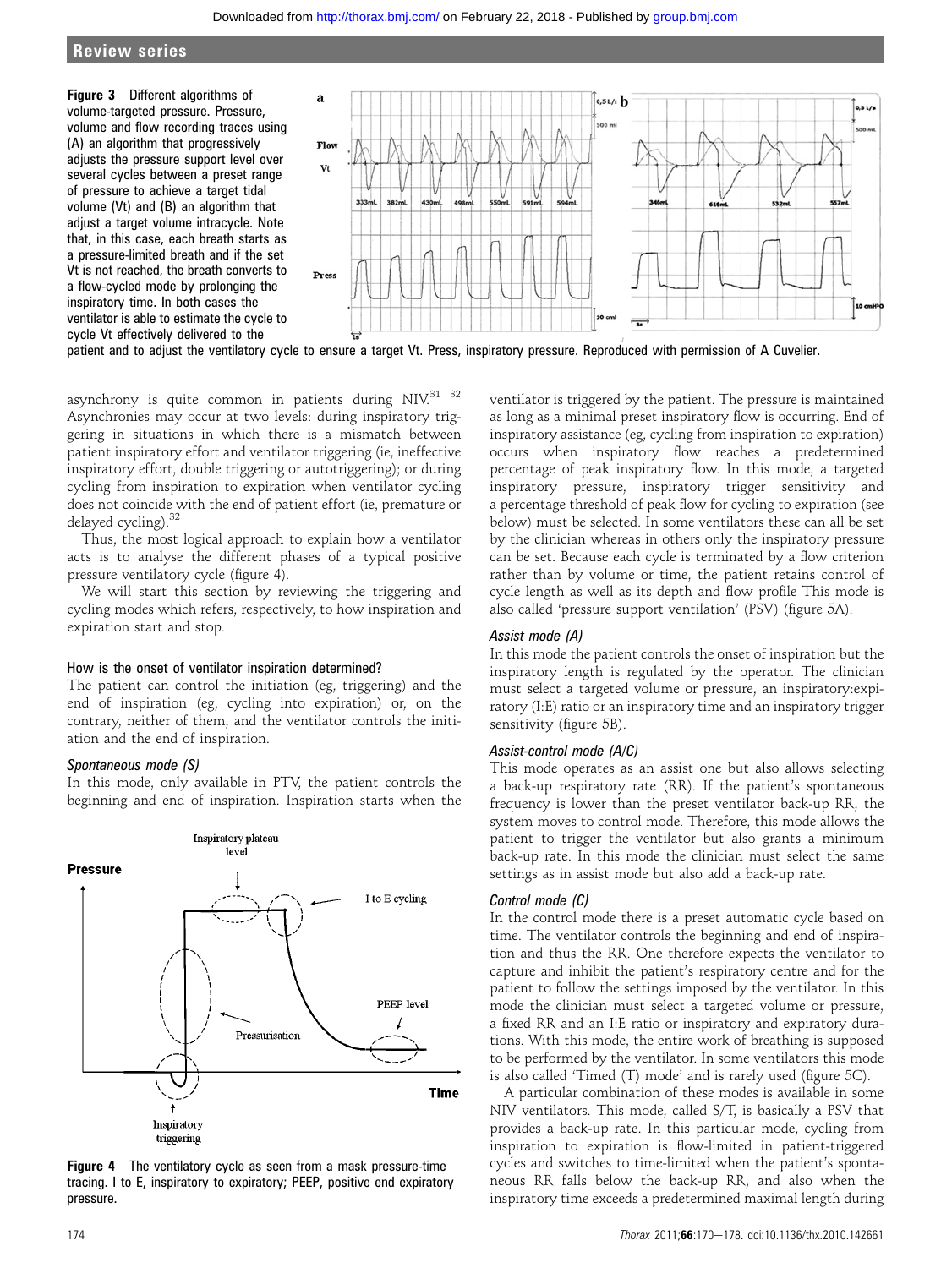Figure 3 Different algorithms of volume-targeted pressure. Pressure, volume and flow recording traces using (A) an algorithm that progressively adjusts the pressure support level over several cycles between a preset range of pressure to achieve a target tidal volume (Vt) and (B) an algorithm that adjust a target volume intracycle. Note that, in this case, each breath starts as a pressure-limited breath and if the set Vt is not reached, the breath converts to a flow-cycled mode by prolonging the inspiratory time. In both cases the ventilator is able to estimate the cycle to cycle Vt effectively delivered to the



patient and to adjust the ventilatory cycle to ensure a target Vt. Press, inspiratory pressure. Reproduced with permission of A Cuvelier.

asynchrony is quite common in patients during  $NIV.^{31}$   $^{32}$ Asynchronies may occur at two levels: during inspiratory triggering in situations in which there is a mismatch between patient inspiratory effort and ventilator triggering (ie, ineffective inspiratory effort, double triggering or autotriggering); or during cycling from inspiration to expiration when ventilator cycling does not coincide with the end of patient effort (ie, premature or delayed cycling).<sup>32</sup>

Thus, the most logical approach to explain how a ventilator acts is to analyse the different phases of a typical positive pressure ventilatory cycle (figure 4).

We will start this section by reviewing the triggering and cycling modes which refers, respectively, to how inspiration and expiration start and stop.

#### How is the onset of ventilator inspiration determined?

The patient can control the initiation (eg, triggering) and the end of inspiration (eg, cycling into expiration) or, on the contrary, neither of them, and the ventilator controls the initiation and the end of inspiration.

# Spontaneous mode (S)

In this mode, only available in PTV, the patient controls the beginning and end of inspiration. Inspiration starts when the



Figure 4 The ventilatory cycle as seen from a mask pressure-time tracing. I to E, inspiratory to expiratory; PEEP, positive end expiratory pressure.

ventilator is triggered by the patient. The pressure is maintained as long as a minimal preset inspiratory flow is occurring. End of inspiratory assistance (eg, cycling from inspiration to expiration) occurs when inspiratory flow reaches a predetermined percentage of peak inspiratory flow. In this mode, a targeted inspiratory pressure, inspiratory trigger sensitivity and a percentage threshold of peak flow for cycling to expiration (see below) must be selected. In some ventilators these can all be set by the clinician whereas in others only the inspiratory pressure can be set. Because each cycle is terminated by a flow criterion rather than by volume or time, the patient retains control of cycle length as well as its depth and flow profile This mode is also called 'pressure support ventilation' (PSV) (figure 5A).

# Assist mode (A)

In this mode the patient controls the onset of inspiration but the inspiratory length is regulated by the operator. The clinician must select a targeted volume or pressure, an inspiratory:expiratory (I:E) ratio or an inspiratory time and an inspiratory trigger sensitivity (figure 5B).

#### Assist-control mode (A/C)

This mode operates as an assist one but also allows selecting a back-up respiratory rate (RR). If the patient's spontaneous frequency is lower than the preset ventilator back-up RR, the system moves to control mode. Therefore, this mode allows the patient to trigger the ventilator but also grants a minimum back-up rate. In this mode the clinician must select the same settings as in assist mode but also add a back-up rate.

#### Control mode (C)

In the control mode there is a preset automatic cycle based on time. The ventilator controls the beginning and end of inspiration and thus the RR. One therefore expects the ventilator to capture and inhibit the patient's respiratory centre and for the patient to follow the settings imposed by the ventilator. In this mode the clinician must select a targeted volume or pressure, a fixed RR and an I:E ratio or inspiratory and expiratory durations. With this mode, the entire work of breathing is supposed to be performed by the ventilator. In some ventilators this mode is also called 'Timed (T) mode' and is rarely used (figure 5C).

A particular combination of these modes is available in some NIV ventilators. This mode, called S/T, is basically a PSV that provides a back-up rate. In this particular mode, cycling from inspiration to expiration is flow-limited in patient-triggered cycles and switches to time-limited when the patient's spontaneous RR falls below the back-up RR, and also when the inspiratory time exceeds a predetermined maximal length during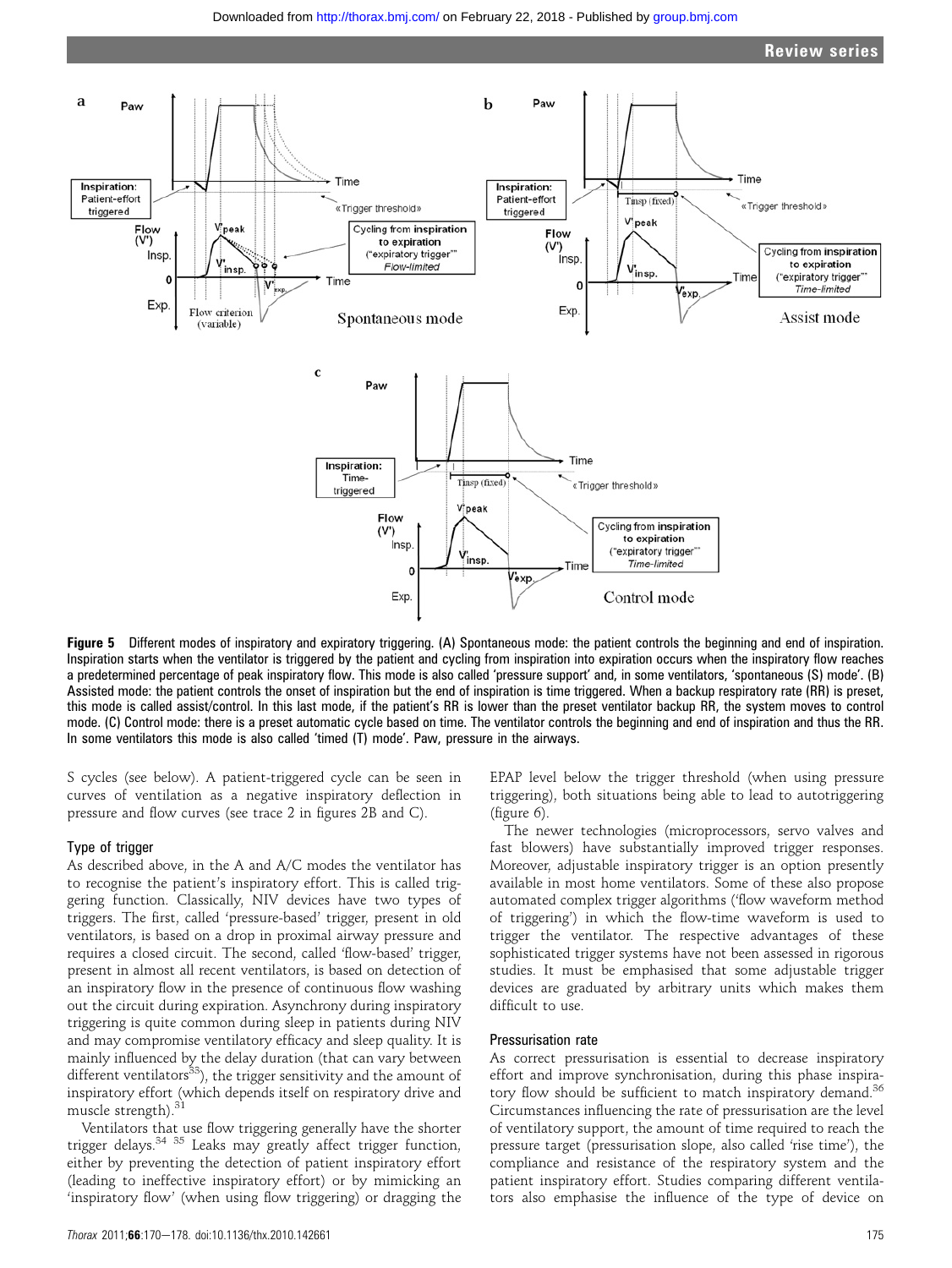



Figure 5 Different modes of inspiratory and expiratory triggering. (A) Spontaneous mode: the patient controls the beginning and end of inspiration. Inspiration starts when the ventilator is triggered by the patient and cycling from inspiration into expiration occurs when the inspiratory flow reaches a predetermined percentage of peak inspiratory flow. This mode is also called 'pressure support' and, in some ventilators, 'spontaneous (S) mode'. (B) Assisted mode: the patient controls the onset of inspiration but the end of inspiration is time triggered. When a backup respiratory rate (RR) is preset, this mode is called assist/control. In this last mode, if the patient's RR is lower than the preset ventilator backup RR, the system moves to control mode. (C) Control mode: there is a preset automatic cycle based on time. The ventilator controls the beginning and end of inspiration and thus the RR. In some ventilators this mode is also called 'timed (T) mode'. Paw, pressure in the airways.

S cycles (see below). A patient-triggered cycle can be seen in curves of ventilation as a negative inspiratory deflection in pressure and flow curves (see trace 2 in figures 2B and C).

#### Type of trigger

As described above, in the A and A/C modes the ventilator has to recognise the patient's inspiratory effort. This is called triggering function. Classically, NIV devices have two types of triggers. The first, called 'pressure-based' trigger, present in old ventilators, is based on a drop in proximal airway pressure and requires a closed circuit. The second, called 'flow-based' trigger, present in almost all recent ventilators, is based on detection of an inspiratory flow in the presence of continuous flow washing out the circuit during expiration. Asynchrony during inspiratory triggering is quite common during sleep in patients during NIV and may compromise ventilatory efficacy and sleep quality. It is mainly influenced by the delay duration (that can vary between different ventilators<sup>33</sup>), the trigger sensitivity and the amount of inspiratory effort (which depends itself on respiratory drive and muscle strength).<sup>31</sup>

Ventilators that use flow triggering generally have the shorter trigger delays.<sup>34 35</sup> Leaks may greatly affect trigger function, either by preventing the detection of patient inspiratory effort (leading to ineffective inspiratory effort) or by mimicking an 'inspiratory flow' (when using flow triggering) or dragging the EPAP level below the trigger threshold (when using pressure triggering), both situations being able to lead to autotriggering (figure 6).

The newer technologies (microprocessors, servo valves and fast blowers) have substantially improved trigger responses. Moreover, adjustable inspiratory trigger is an option presently available in most home ventilators. Some of these also propose automated complex trigger algorithms ('flow waveform method of triggering') in which the flow-time waveform is used to trigger the ventilator. The respective advantages of these sophisticated trigger systems have not been assessed in rigorous studies. It must be emphasised that some adjustable trigger devices are graduated by arbitrary units which makes them difficult to use.

#### Pressurisation rate

As correct pressurisation is essential to decrease inspiratory effort and improve synchronisation, during this phase inspiratory flow should be sufficient to match inspiratory demand.<sup>36</sup> Circumstances influencing the rate of pressurisation are the level of ventilatory support, the amount of time required to reach the pressure target (pressurisation slope, also called 'rise time'), the compliance and resistance of the respiratory system and the patient inspiratory effort. Studies comparing different ventilators also emphasise the influence of the type of device on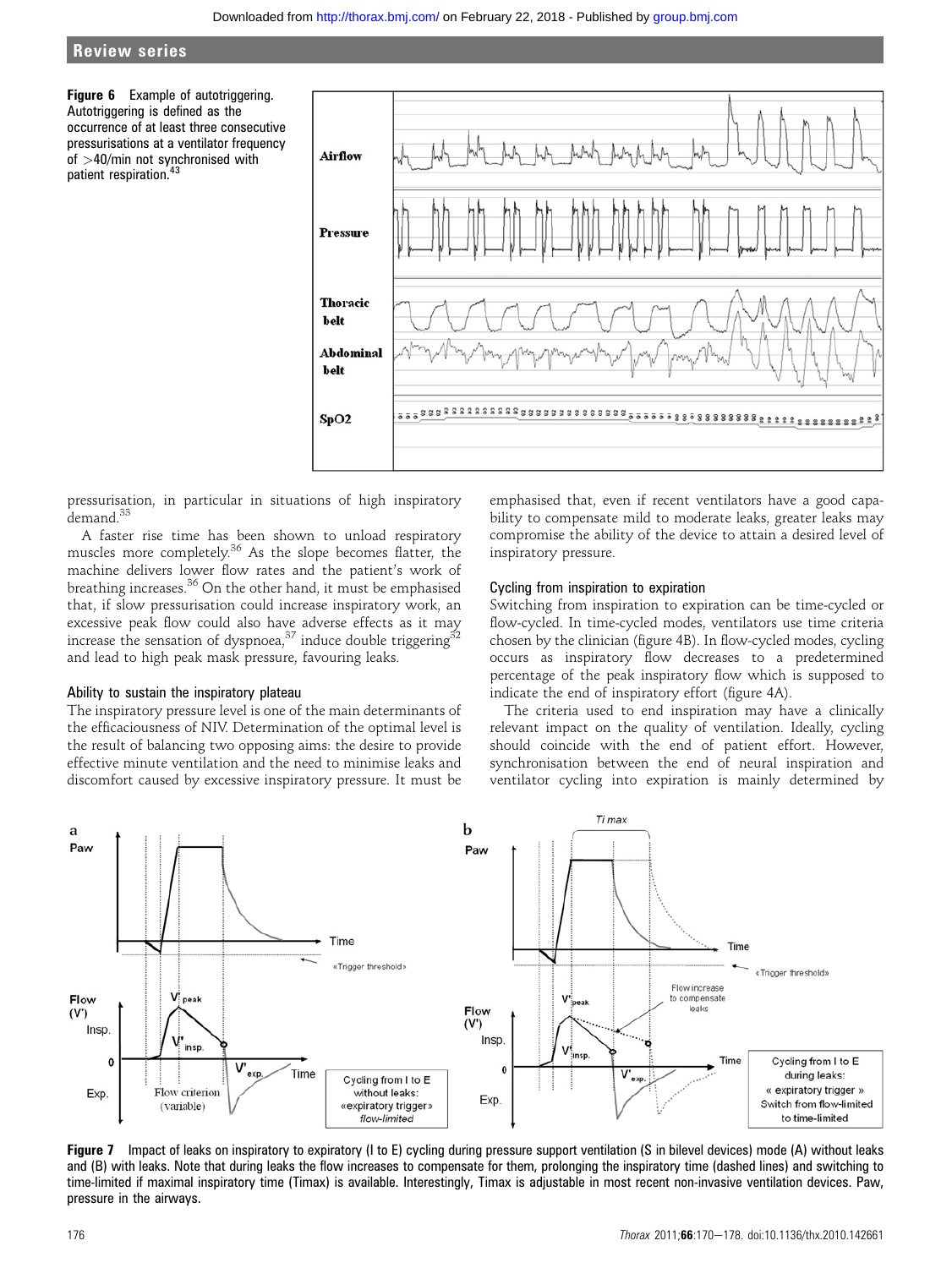**Figure 6** Example of autotriggering. Autotriggering is defined as the occurrence of at least three consecutive pressurisations at a ventilator frequency  $of >40$ /min not synchronised with patient respiration.<sup>43</sup>



pressurisation, in particular in situations of high inspiratory demand<sup>33</sup>

A faster rise time has been shown to unload respiratory muscles more completely.36 As the slope becomes flatter, the machine delivers lower flow rates and the patient's work of breathing increases.<sup>36</sup> On the other hand, it must be emphasised that, if slow pressurisation could increase inspiratory work, an excessive peak flow could also have adverse effects as it may increase the sensation of dyspnoea,  $37$  induce double triggering  $32$ and lead to high peak mask pressure, favouring leaks.

#### Ability to sustain the inspiratory plateau

The inspiratory pressure level is one of the main determinants of the efficaciousness of NIV. Determination of the optimal level is the result of balancing two opposing aims: the desire to provide effective minute ventilation and the need to minimise leaks and discomfort caused by excessive inspiratory pressure. It must be emphasised that, even if recent ventilators have a good capability to compensate mild to moderate leaks, greater leaks may compromise the ability of the device to attain a desired level of inspiratory pressure.

#### Cycling from inspiration to expiration

Switching from inspiration to expiration can be time-cycled or flow-cycled. In time-cycled modes, ventilators use time criteria chosen by the clinician (figure 4B). In flow-cycled modes, cycling occurs as inspiratory flow decreases to a predetermined percentage of the peak inspiratory flow which is supposed to indicate the end of inspiratory effort (figure 4A).

The criteria used to end inspiration may have a clinically relevant impact on the quality of ventilation. Ideally, cycling should coincide with the end of patient effort. However, synchronisation between the end of neural inspiration and ventilator cycling into expiration is mainly determined by



Figure 7 Impact of leaks on inspiratory to expiratory (I to E) cycling during pressure support ventilation (S in bilevel devices) mode (A) without leaks and (B) with leaks. Note that during leaks the flow increases to compensate for them, prolonging the inspiratory time (dashed lines) and switching to time-limited if maximal inspiratory time (Timax) is available. Interestingly, Timax is adjustable in most recent non-invasive ventilation devices. Paw, pressure in the airways.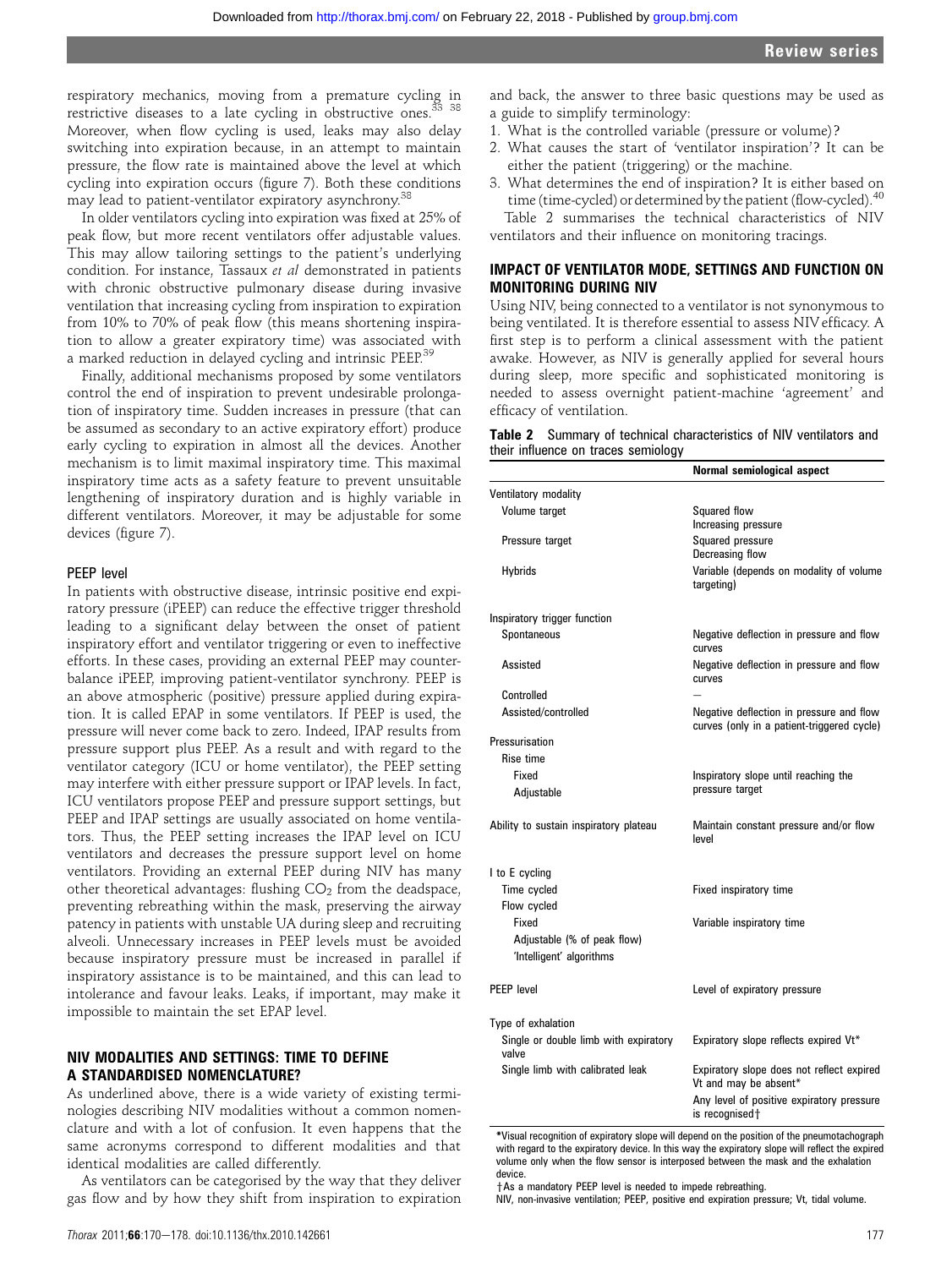respiratory mechanics, moving from a premature cycling in restrictive diseases to a late cycling in obstructive ones.<sup>33</sup> 38 Moreover, when flow cycling is used, leaks may also delay switching into expiration because, in an attempt to maintain pressure, the flow rate is maintained above the level at which cycling into expiration occurs (figure 7). Both these conditions may lead to patient-ventilator expiratory asynchrony.<sup>38</sup>

In older ventilators cycling into expiration was fixed at 25% of peak flow, but more recent ventilators offer adjustable values. This may allow tailoring settings to the patient's underlying condition. For instance, Tassaux et al demonstrated in patients with chronic obstructive pulmonary disease during invasive ventilation that increasing cycling from inspiration to expiration from 10% to 70% of peak flow (this means shortening inspiration to allow a greater expiratory time) was associated with a marked reduction in delayed cycling and intrinsic PEEP.<sup>39</sup>

Finally, additional mechanisms proposed by some ventilators control the end of inspiration to prevent undesirable prolongation of inspiratory time. Sudden increases in pressure (that can be assumed as secondary to an active expiratory effort) produce early cycling to expiration in almost all the devices. Another mechanism is to limit maximal inspiratory time. This maximal inspiratory time acts as a safety feature to prevent unsuitable lengthening of inspiratory duration and is highly variable in different ventilators. Moreover, it may be adjustable for some devices (figure 7).

#### PEEP level

In patients with obstructive disease, intrinsic positive end expiratory pressure (iPEEP) can reduce the effective trigger threshold leading to a significant delay between the onset of patient inspiratory effort and ventilator triggering or even to ineffective efforts. In these cases, providing an external PEEP may counterbalance iPEEP, improving patient-ventilator synchrony. PEEP is an above atmospheric (positive) pressure applied during expiration. It is called EPAP in some ventilators. If PEEP is used, the pressure will never come back to zero. Indeed, IPAP results from pressure support plus PEEP. As a result and with regard to the ventilator category (ICU or home ventilator), the PEEP setting may interfere with either pressure support or IPAP levels. In fact, ICU ventilators propose PEEP and pressure support settings, but PEEP and IPAP settings are usually associated on home ventilators. Thus, the PEEP setting increases the IPAP level on ICU ventilators and decreases the pressure support level on home ventilators. Providing an external PEEP during NIV has many other theoretical advantages: flushing  $CO<sub>2</sub>$  from the deadspace, preventing rebreathing within the mask, preserving the airway patency in patients with unstable UA during sleep and recruiting alveoli. Unnecessary increases in PEEP levels must be avoided because inspiratory pressure must be increased in parallel if inspiratory assistance is to be maintained, and this can lead to intolerance and favour leaks. Leaks, if important, may make it impossible to maintain the set EPAP level.

# NIV MODALITIES AND SETTINGS: TIME TO DEFINE A STANDARDISED NOMENCLATURE?

As underlined above, there is a wide variety of existing terminologies describing NIV modalities without a common nomenclature and with a lot of confusion. It even happens that the same acronyms correspond to different modalities and that identical modalities are called differently.

As ventilators can be categorised by the way that they deliver gas flow and by how they shift from inspiration to expiration

and back, the answer to three basic questions may be used as a guide to simplify terminology:

- 1. What is the controlled variable (pressure or volume)?
- 2. What causes the start of 'ventilator inspiration'? It can be either the patient (triggering) or the machine.
- 3. What determines the end of inspiration? It is either based on time (time-cycled) or determined by the patient (flow-cycled).<sup>40</sup>

Table 2 summarises the technical characteristics of NIV ventilators and their influence on monitoring tracings.

# IMPACT OF VENTILATOR MODE, SETTINGS AND FUNCTION ON MONITORING DURING NIV

Using NIV, being connected to a ventilator is not synonymous to being ventilated. It is therefore essential to assess NIV efficacy. A first step is to perform a clinical assessment with the patient awake. However, as NIV is generally applied for several hours during sleep, more specific and sophisticated monitoring is needed to assess overnight patient-machine 'agreement' and efficacy of ventilation.

|  |                                     | Table 2 Summary of technical characteristics of NIV ventilators and |  |  |
|--|-------------------------------------|---------------------------------------------------------------------|--|--|
|  | their influence on traces semiology |                                                                     |  |  |

|                                                | <b>Normal semiological aspect</b>                                                      |
|------------------------------------------------|----------------------------------------------------------------------------------------|
| Ventilatory modality                           |                                                                                        |
| Volume target                                  | Squared flow<br>Increasing pressure                                                    |
| Pressure target                                | Squared pressure<br>Decreasing flow                                                    |
| <b>Hybrids</b>                                 | Variable (depends on modality of volume<br>targeting)                                  |
| Inspiratory trigger function                   |                                                                                        |
| Spontaneous                                    | Negative deflection in pressure and flow<br>curves                                     |
| Assisted                                       | Negative deflection in pressure and flow<br>curves                                     |
| Controlled                                     |                                                                                        |
| Assisted/controlled                            | Negative deflection in pressure and flow<br>curves (only in a patient-triggered cycle) |
| Pressurisation                                 |                                                                                        |
| Rise time                                      |                                                                                        |
| Fixed                                          | Inspiratory slope until reaching the                                                   |
| Adjustable                                     | pressure target                                                                        |
| Ability to sustain inspiratory plateau         | Maintain constant pressure and/or flow<br>level                                        |
| I to E cycling                                 |                                                                                        |
| Time cycled                                    | Fixed inspiratory time                                                                 |
| Flow cycled                                    |                                                                                        |
| Fixed                                          | Variable inspiratory time                                                              |
| Adjustable (% of peak flow)                    |                                                                                        |
| 'Intelligent' algorithms                       |                                                                                        |
| <b>PEEP level</b>                              | Level of expiratory pressure                                                           |
| Type of exhalation                             |                                                                                        |
| Single or double limb with expiratory<br>valve | Expiratory slope reflects expired Vt*                                                  |
| Single limb with calibrated leak               | Expiratory slope does not reflect expired<br>Vt and may be absent*                     |
|                                                | Any level of positive expiratory pressure<br>is recognised+                            |

\*Visual recognition of expiratory slope will depend on the position of the pneumotachograph with regard to the expiratory device. In this way the expiratory slope will reflect the expired volume only when the flow sensor is interposed between the mask and the exhalation device.

+As a mandatory PEEP level is needed to impede rebreathing.

NIV, non-invasive ventilation; PEEP, positive end expiration pressure; Vt, tidal volume.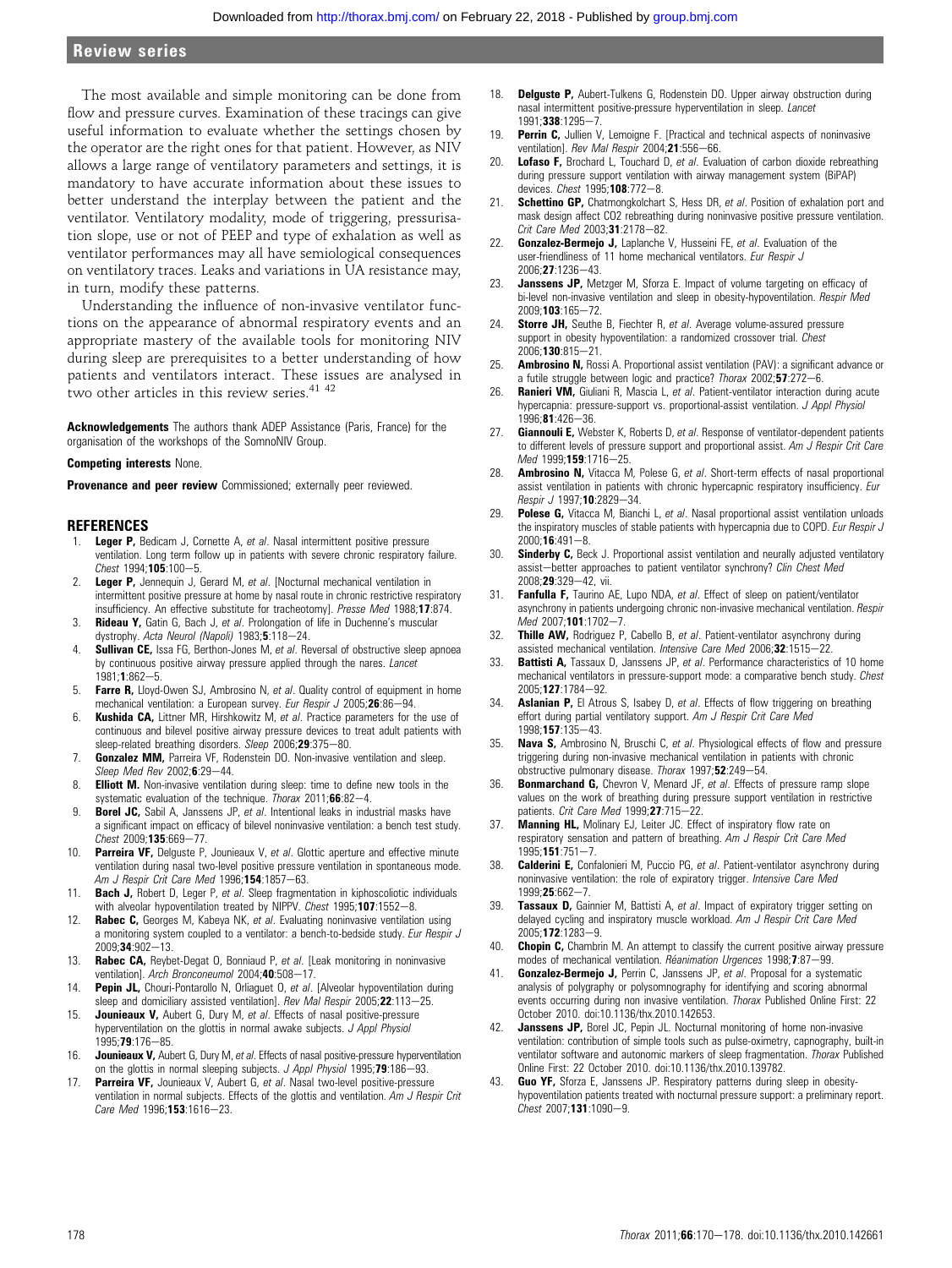The most available and simple monitoring can be done from flow and pressure curves. Examination of these tracings can give useful information to evaluate whether the settings chosen by the operator are the right ones for that patient. However, as NIV allows a large range of ventilatory parameters and settings, it is mandatory to have accurate information about these issues to better understand the interplay between the patient and the ventilator. Ventilatory modality, mode of triggering, pressurisation slope, use or not of PEEP and type of exhalation as well as ventilator performances may all have semiological consequences on ventilatory traces. Leaks and variations in UA resistance may, in turn, modify these patterns.

Understanding the influence of non-invasive ventilator functions on the appearance of abnormal respiratory events and an appropriate mastery of the available tools for monitoring NIV during sleep are prerequisites to a better understanding of how patients and ventilators interact. These issues are analysed in two other articles in this review series.<sup>41 42</sup>

Acknowledgements The authors thank ADEP Assistance (Paris, France) for the organisation of the workshops of the SomnoNIV Group.

#### Competing interests None.

Provenance and peer review Commissioned; externally peer reviewed.

#### **REFERENCES**

- 1. Leger P, Bedicam J, Cornette A, et al. Nasal intermittent positive pressure ventilation. Long term follow up in patients with severe chronic respiratory failure.  $Check 1994; 105:100 - 5.$
- 2. Leger P, Jennequin J, Gerard M, et al. [Nocturnal mechanical ventilation in intermittent positive pressure at home by nasal route in chronic restrictive respiratory insufficiency. An effective substitute for tracheotomy]. Presse Med 1988;17:874.
- 3. Rideau Y, Gatin G, Bach J, et al. Prolongation of life in Duchenne's muscular dystrophy. Acta Neurol (Napoli) 1983;5:118-24.
- 4. **Sullivan CE,** Issa FG, Berthon-Jones M, et al. Reversal of obstructive sleep apnoea by continuous positive airway pressure applied through the nares. Lancet 1981:1:862-5
- 5. Farre R, Lloyd-Owen SJ, Ambrosino N, et al. Quality control of equipment in home mechanical ventilation: a European survey. Eur Respir J 2005;26:86-94.
- 6. Kushida CA, Littner MR, Hirshkowitz M, et al. Practice parameters for the use of continuous and bilevel positive airway pressure devices to treat adult patients with sleep-related breathing disorders. Sleep 2006;29:375-80.
- 7. Gonzalez MM, Parreira VF, Rodenstein DO. Non-invasive ventilation and sleep. Sleep Med Rev 2002:6:29-44.
- 8. **Elliott M.** Non-invasive ventilation during sleep: time to define new tools in the systematic evaluation of the technique. Thorax  $2011;66:82-4$ .
- 9. **Borel JC,** Sabil A, Janssens JP, et al. Intentional leaks in industrial masks have a significant impact on efficacy of bilevel noninvasive ventilation: a bench test study. Chest 2009;135:669-77.
- 10. Parreira VF, Delguste P, Jounieaux V, et al. Glottic aperture and effective minute ventilation during nasal two-level positive pressure ventilation in spontaneous mode. Am J Respir Crit Care Med 1996; 154: 1857-63.
- 11. **Bach J,** Robert D, Leger P, et al. Sleep fragmentation in kiphoscoliotic individuals with alveolar hypoventilation treated by NIPPV. Chest  $1995; 107:1552-8$ .
- 12. **Rabec C,** Georges M, Kabeya NK, et al. Evaluating noninvasive ventilation using a monitoring system coupled to a ventilator: a bench-to-bedside study. Eur Respir J 2009;34:902-13.
- 13. Rabec CA, Reybet-Degat O, Bonniaud P, et al. [Leak monitoring in noninvasive ventilation]. Arch Bronconeumol 2004;40:508-17.
- Pepin JL, Chouri-Pontarollo N, Orliaguet O, et al. [Alveolar hypoventilation during sleep and domiciliary assisted ventilation]. Rev Mal Respir 2005;22:113-25.
- 15. **Jounieaux V,** Aubert G, Dury M, et al. Effects of nasal positive-pressure hyperventilation on the glottis in normal awake subjects. J Appl Physiol 1995:79:176-85.
- 16. Jounieaux V, Aubert G, Dury M, et al. Effects of nasal positive-pressure hyperventilation on the glottis in normal sleeping subjects. J Appl Physiol 1995;79:186-93.
- 17. **Parreira VF,** Jounieaux V, Aubert G, et al. Nasal two-level positive-pressure ventilation in normal subjects. Effects of the glottis and ventilation. Am J Respir Crit  $Care Med$  1996:153:1616-23.
- 18. **Delguste P**, Aubert-Tulkens G, Rodenstein DO. Upper airway obstruction during nasal intermittent positive-pressure hyperventilation in sleep. Lancet 1991:338:1295-7
- 19. Perrin C, Jullien V, Lemoigne F. [Practical and technical aspects of noninvasive ventilation]. Rev Mal Respir 2004:21:556-66.
- 20. **Lofaso F,** Brochard L, Touchard D, et al. Evaluation of carbon dioxide rebreathing during pressure support ventilation with airway management system (BiPAP) devices. Chest 1995;108:772-8.
- 21. Schettino GP, Chatmongkolchart S, Hess DR, et al. Position of exhalation port and mask design affect CO2 rebreathing during noninvasive positive pressure ventilation.  $Crit$  Care Med 2003:31:2178-82.
- 22. Gonzalez-Bermejo J, Laplanche V, Husseini FE, et al. Evaluation of the user-friendliness of 11 home mechanical ventilators. Eur Respir J 2006:27:1236-43.
- **Janssens JP, Metzger M, Sforza E. Impact of volume targeting on efficacy of** bi-level non-invasive ventilation and sleep in obesity-hypoventilation. Respir Med 2009:103:165-72
- 24. Storre JH, Seuthe B, Fiechter R, et al. Average volume-assured pressure support in obesity hypoventilation: a randomized crossover trial. Chest  $2006; 130:815 - 21.$
- 25. **Ambrosino N, Rossi A. Proportional assist ventilation (PAV): a significant advance or** a futile struggle between logic and practice? Thorax 2002;57:272-6.
- 26. Ranieri VM, Giuliani R, Mascia L, et al. Patient-ventilator interaction during acute hypercapnia: pressure-support vs. proportional-assist ventilation. J Appl Physiol  $1996 \cdot 81 \cdot 426 - 36$
- 27. Giannouli E, Webster K, Roberts D, et al. Response of ventilator-dependent patients to different levels of pressure support and proportional assist. Am J Respir Crit Care Med 1999;159:1716-25.
- 28. **Ambrosino N,** Vitacca M, Polese G, et al. Short-term effects of nasal proportional assist ventilation in patients with chronic hypercapnic respiratory insufficiency. Eur Respir J 1997;10:2829-34
- 29. Polese G, Vitacca M, Bianchi L, et al. Nasal proportional assist ventilation unloads the inspiratory muscles of stable patients with hypercapnia due to COPD. Eur Respir J  $2000:16:491-8$
- 30. **Sinderby C.** Beck J. Proportional assist ventilation and neurally adjusted ventilatory assist-better approaches to patient ventilator synchrony? Clin Chest Med 2008:29:329-42, vii.
- 31. Fanfulla F, Taurino AE, Lupo NDA, et al. Effect of sleep on patient/ventilator asynchrony in patients undergoing chronic non-invasive mechanical ventilation. Respir Med 2007;101:1702-7.
- 32. Thille AW, Rodriguez P, Cabello B, et al. Patient-ventilator asynchrony during assisted mechanical ventilation. Intensive Care Med 2006;32:1515-22.
- 33. **Battisti A,** Tassaux D, Janssens JP, et al. Performance characteristics of 10 home mechanical ventilators in pressure-support mode: a comparative bench study. Chest 2005;127:1784-92.
- 34. **Aslanian P,** El Atrous S, Isabey D, et al. Effects of flow triggering on breathing effort during partial ventilatory support. Am J Respir Crit Care Med 1998;157:135-43.
- 35. Nava S, Ambrosino N, Bruschi C, et al. Physiological effects of flow and pressure triggering during non-invasive mechanical ventilation in patients with chronic obstructive pulmonary disease. Thorax  $1997;52:249-54$ .
- **Bonmarchand G,** Chevron V, Menard JF, et al. Effects of pressure ramp slope values on the work of breathing during pressure support ventilation in restrictive patients. Crit Care Med  $1999;27:715-22$ .
- 37. **Manning HL,** Molinary EJ, Leiter JC. Effect of inspiratory flow rate on respiratory sensation and pattern of breathing. Am J Respir Crit Care Med 1995;151:751-7
- 38. Calderini E, Confalonieri M, Puccio PG, et al. Patient-ventilator asynchrony during noninvasive ventilation: the role of expiratory trigger. Intensive Care Med  $1999:25:662 - 7.$
- 39. Tassaux D, Gainnier M, Battisti A, et al. Impact of expiratory trigger setting on delayed cycling and inspiratory muscle workload. Am J Respir Crit Care Med 2005;172:1283-9.
- 40. Chopin C, Chambrin M. An attempt to classify the current positive airway pressure modes of mechanical ventilation. Reanimation Urgences 1998;7:87-99.
- 41. **Gonzalez-Bermejo J,** Perrin C, Janssens JP, et al. Proposal for a systematic analysis of polygraphy or polysomnography for identifying and scoring abnormal events occurring during non invasive ventilation. Thorax Published Online First: 22 October 2010. doi:10.1136/thx.2010.142653.
- 42. **Janssens JP,** Borel JC, Pepin JL. Nocturnal monitoring of home non-invasive ventilation: contribution of simple tools such as pulse-oximetry, capnography, built-in ventilator software and autonomic markers of sleep fragmentation. Thorax Published Online First: 22 October 2010. doi:10.1136/thx.2010.139782.
- Guo YF, Sforza E, Janssens JP. Respiratory patterns during sleep in obesityhypoventilation patients treated with nocturnal pressure support: a preliminary report. Chest 2007;131:1090-9.